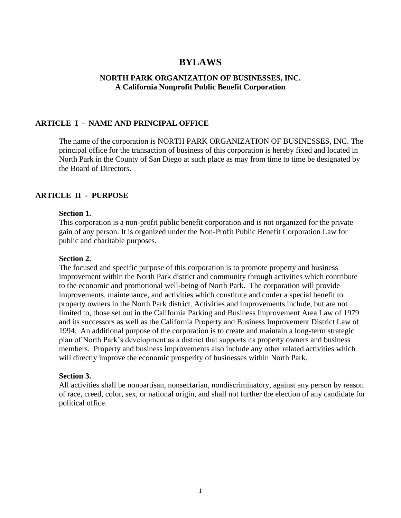# **BYLAWS**

## **NORTH PARK ORGANIZATION OF BUSINESSES, INC. A California Nonprofit Public Benefit Corporation**

# **ARTICLE I - NAME AND PRINCIPAL OFFICE**

The name of the corporation is NORTH PARK ORGANIZATION OF BUSINESSES, INC. The principal office for the transaction of business of this corporation is hereby fixed and located in North Park in the County of San Diego at such place as may from time to time be designated by the Board of Directors.

## **ARTICLE II - PURPOSE**

### **Section 1.**

This corporation is a non-profit public benefit corporation and is not organized for the private gain of any person. It is organized under the Non-Profit Public Benefit Corporation Law for public and charitable purposes.

#### **Section 2.**

The focused and specific purpose of this corporation is to promote property and business improvement within the North Park district and community through activities which contribute to the economic and promotional well-being of North Park. The corporation will provide improvements, maintenance, and activities which constitute and confer a special benefit to property owners in the North Park district. Activities and improvements include, but are not limited to, those set out in the California Parking and Business Improvement Area Law of 1979 and its successors as well as the California Property and Business Improvement District Law of 1994. An additional purpose of the corporation is to create and maintain a long-term strategic plan of North Park's development as a district that supports its property owners and business members. Property and business improvements also include any other related activities which will directly improve the economic prosperity of businesses within North Park.

#### **Section 3.**

All activities shall be nonpartisan, nonsectarian, nondiscriminatory, against any person by reason of race, creed, color, sex, or national origin, and shall not further the election of any candidate for political office.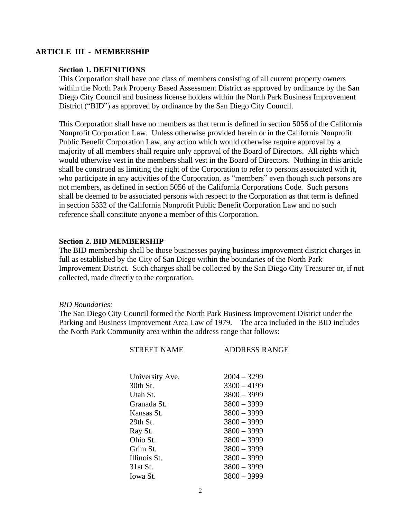## **ARTICLE III - MEMBERSHIP**

#### **Section 1. DEFINITIONS**

This Corporation shall have one class of members consisting of all current property owners within the North Park Property Based Assessment District as approved by ordinance by the San Diego City Council and business license holders within the North Park Business Improvement District ("BID") as approved by ordinance by the San Diego City Council.

This Corporation shall have no members as that term is defined in section 5056 of the California Nonprofit Corporation Law. Unless otherwise provided herein or in the California Nonprofit Public Benefit Corporation Law, any action which would otherwise require approval by a majority of all members shall require only approval of the Board of Directors. All rights which would otherwise vest in the members shall vest in the Board of Directors. Nothing in this article shall be construed as limiting the right of the Corporation to refer to persons associated with it, who participate in any activities of the Corporation, as "members" even though such persons are not members, as defined in section 5056 of the California Corporations Code. Such persons shall be deemed to be associated persons with respect to the Corporation as that term is defined in section 5332 of the California Nonprofit Public Benefit Corporation Law and no such reference shall constitute anyone a member of this Corporation.

### **Section 2. BID MEMBERSHIP**

The BID membership shall be those businesses paying business improvement district charges in full as established by the City of San Diego within the boundaries of the North Park Improvement District. Such charges shall be collected by the San Diego City Treasurer or, if not collected, made directly to the corporation.

#### *BID Boundaries:*

The San Diego City Council formed the North Park Business Improvement District under the Parking and Business Improvement Area Law of 1979. The area included in the BID includes the North Park Community area within the address range that follows:

| <b>STREET NAME</b> | <b>ADDRESS RANGE</b> |  |
|--------------------|----------------------|--|
|                    |                      |  |
| University Ave.    | $2004 - 3299$        |  |
| 30th St.           | $3300 - 4199$        |  |
| Utah St.           | $3800 - 3999$        |  |
| Granada St.        | $3800 - 3999$        |  |
| Kansas St.         | $3800 - 3999$        |  |
| $29th$ St.         | $3800 - 3999$        |  |
| Ray St.            | $3800 - 3999$        |  |
| Ohio St.           | $3800 - 3999$        |  |
| Grim St.           | $3800 - 3999$        |  |
| Illinois St.       | $3800 - 3999$        |  |
| 31st St.           | $3800 - 3999$        |  |
| <b>Iowa</b> St.    | $3800 - 3999$        |  |
|                    |                      |  |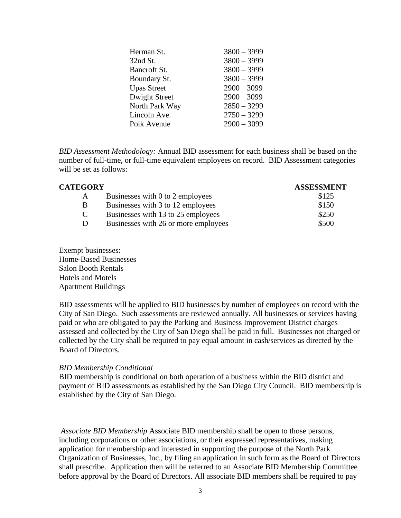| Herman St.         | $3800 - 3999$ |
|--------------------|---------------|
| 32nd St.           | $3800 - 3999$ |
| Bancroft St.       | $3800 - 3999$ |
| Boundary St.       | $3800 - 3999$ |
| <b>Upas Street</b> | $2900 - 3099$ |
| Dwight Street      | $2900 - 3099$ |
| North Park Way     | $2850 - 3299$ |
| Lincoln Ave.       | $2750 - 3299$ |
| Polk Avenue        | $2900 - 3099$ |
|                    |               |

*BID Assessment Methodology:* Annual BID assessment for each business shall be based on the number of full-time, or full-time equivalent employees on record. BID Assessment categories will be set as follows:

| <b>CATEGORY</b> |                                      | <b>ASSESSMENT</b> |
|-----------------|--------------------------------------|-------------------|
| A               | Businesses with 0 to 2 employees     | \$125             |
| B               | Businesses with 3 to 12 employees    | \$150             |
| C               | Businesses with 13 to 25 employees   | \$250             |
| D               | Businesses with 26 or more employees | \$500             |
|                 |                                      |                   |

Exempt businesses: Home-Based Businesses Salon Booth Rentals Hotels and Motels Apartment Buildings

BID assessments will be applied to BID businesses by number of employees on record with the City of San Diego. Such assessments are reviewed annually. All businesses or services having paid or who are obligated to pay the Parking and Business Improvement District charges assessed and collected by the City of San Diego shall be paid in full. Businesses not charged or collected by the City shall be required to pay equal amount in cash/services as directed by the Board of Directors.

## *BID Membership Conditional*

BID membership is conditional on both operation of a business within the BID district and payment of BID assessments as established by the San Diego City Council. BID membership is established by the City of San Diego.

*Associate BID Membership* Associate BID membership shall be open to those persons, including corporations or other associations, or their expressed representatives, making application for membership and interested in supporting the purpose of the North Park Organization of Businesses, Inc., by filing an application in such form as the Board of Directors shall prescribe. Application then will be referred to an Associate BID Membership Committee before approval by the Board of Directors. All associate BID members shall be required to pay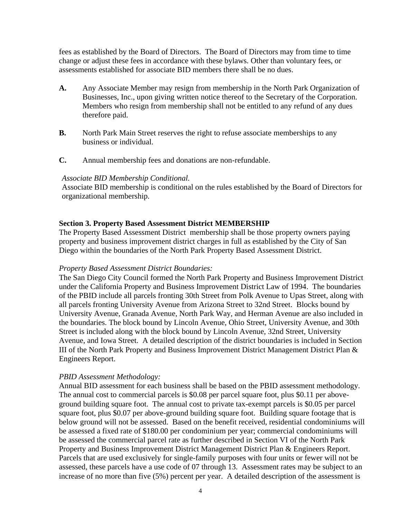fees as established by the Board of Directors. The Board of Directors may from time to time change or adjust these fees in accordance with these bylaws. Other than voluntary fees, or assessments established for associate BID members there shall be no dues.

- **A.** Any Associate Member may resign from membership in the North Park Organization of Businesses, Inc., upon giving written notice thereof to the Secretary of the Corporation. Members who resign from membership shall not be entitled to any refund of any dues therefore paid.
- **B.** North Park Main Street reserves the right to refuse associate memberships to any business or individual.
- **C.** Annual membership fees and donations are non-refundable.

### *Associate BID Membership Conditional.*

Associate BID membership is conditional on the rules established by the Board of Directors for organizational membership.

### **Section 3. Property Based Assessment District MEMBERSHIP**

The Property Based Assessment District membership shall be those property owners paying property and business improvement district charges in full as established by the City of San Diego within the boundaries of the North Park Property Based Assessment District.

#### *Property Based Assessment District Boundaries:*

The San Diego City Council formed the North Park Property and Business Improvement District under the California Property and Business Improvement District Law of 1994. The boundaries of the PBID include all parcels fronting 30th Street from Polk Avenue to Upas Street, along with all parcels fronting University Avenue from Arizona Street to 32nd Street. Blocks bound by University Avenue, Granada Avenue, North Park Way, and Herman Avenue are also included in the boundaries. The block bound by Lincoln Avenue, Ohio Street, University Avenue, and 30th Street is included along with the block bound by Lincoln Avenue, 32nd Street, University Avenue, and Iowa Street. A detailed description of the district boundaries is included in Section III of the North Park Property and Business Improvement District Management District Plan & Engineers Report.

## *PBID Assessment Methodology:*

Annual BID assessment for each business shall be based on the PBID assessment methodology. The annual cost to commercial parcels is \$0.08 per parcel square foot, plus \$0.11 per aboveground building square foot. The annual cost to private tax-exempt parcels is \$0.05 per parcel square foot, plus \$0.07 per above-ground building square foot. Building square footage that is below ground will not be assessed. Based on the benefit received, residential condominiums will be assessed a fixed rate of \$180.00 per condominium per year; commercial condominiums will be assessed the commercial parcel rate as further described in Section VI of the North Park Property and Business Improvement District Management District Plan & Engineers Report. Parcels that are used exclusively for single-family purposes with four units or fewer will not be assessed, these parcels have a use code of 07 through 13. Assessment rates may be subject to an increase of no more than five (5%) percent per year. A detailed description of the assessment is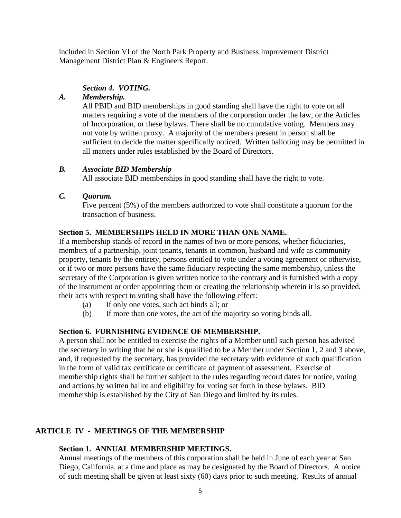included in Section VI of the North Park Property and Business Improvement District Management District Plan & Engineers Report.

# *Section 4. VOTING.*

# *A. Membership.*

All PBID and BID memberships in good standing shall have the right to vote on all matters requiring a vote of the members of the corporation under the law, or the Articles of Incorporation, or these bylaws. There shall be no cumulative voting. Members may not vote by written proxy. A majority of the members present in person shall be sufficient to decide the matter specifically noticed. Written balloting may be permitted in all matters under rules established by the Board of Directors.

# *B. Associate BID Membership*

All associate BID memberships in good standing shall have the right to vote.

## *C. Quorum.*

Five percent (5%) of the members authorized to vote shall constitute a quorum for the transaction of business.

# **Section 5. MEMBERSHIPS HELD IN MORE THAN ONE NAME.**

If a membership stands of record in the names of two or more persons, whether fiduciaries, members of a partnership, joint tenants, tenants in common, husband and wife as community property, tenants by the entirety, persons entitled to vote under a voting agreement or otherwise, or if two or more persons have the same fiduciary respecting the same membership, unless the secretary of the Corporation is given written notice to the contrary and is furnished with a copy of the instrument or order appointing them or creating the relationship wherein it is so provided, their acts with respect to voting shall have the following effect:

- (a) If only one votes, such act binds all; or
- (b) If more than one votes, the act of the majority so voting binds all.

# **Section 6. FURNISHING EVIDENCE OF MEMBERSHIP.**

A person shall not be entitled to exercise the rights of a Member until such person has advised the secretary in writing that he or she is qualified to be a Member under Section 1, 2 and 3 above, and, if requested by the secretary, has provided the secretary with evidence of such qualification in the form of valid tax certificate or certificate of payment of assessment. Exercise of membership rights shall be further subject to the rules regarding record dates for notice, voting and actions by written ballot and eligibility for voting set forth in these bylaws. BID membership is established by the City of San Diego and limited by its rules.

# **ARTICLE IV - MEETINGS OF THE MEMBERSHIP**

# **Section 1. ANNUAL MEMBERSHIP MEETINGS.**

Annual meetings of the members of this corporation shall be held in June of each year at San Diego, California, at a time and place as may be designated by the Board of Directors. A notice of such meeting shall be given at least sixty (60) days prior to such meeting. Results of annual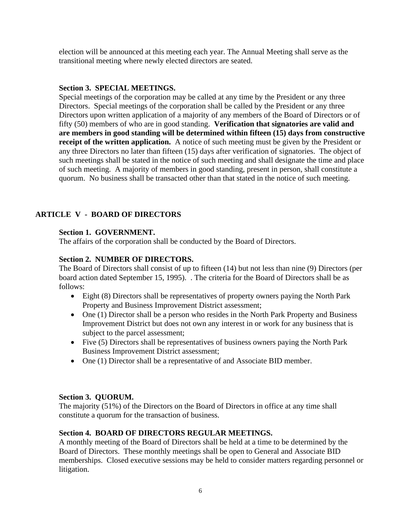election will be announced at this meeting each year. The Annual Meeting shall serve as the transitional meeting where newly elected directors are seated.

# **Section 3. SPECIAL MEETINGS.**

Special meetings of the corporation may be called at any time by the President or any three Directors. Special meetings of the corporation shall be called by the President or any three Directors upon written application of a majority of any members of the Board of Directors or of fifty (50) members of who are in good standing. **Verification that signatories are valid and are members in good standing will be determined within fifteen (15) days from constructive receipt of the written application.** A notice of such meeting must be given by the President or any three Directors no later than fifteen (15) days after verification of signatories. The object of such meetings shall be stated in the notice of such meeting and shall designate the time and place of such meeting. A majority of members in good standing, present in person, shall constitute a quorum. No business shall be transacted other than that stated in the notice of such meeting.

# **ARTICLE V - BOARD OF DIRECTORS**

# **Section 1. GOVERNMENT.**

The affairs of the corporation shall be conducted by the Board of Directors.

# **Section 2. NUMBER OF DIRECTORS.**

The Board of Directors shall consist of up to fifteen (14) but not less than nine (9) Directors (per board action dated September 15, 1995). . The criteria for the Board of Directors shall be as follows:

- Eight (8) Directors shall be representatives of property owners paying the North Park Property and Business Improvement District assessment;
- One (1) Director shall be a person who resides in the North Park Property and Business Improvement District but does not own any interest in or work for any business that is subject to the parcel assessment;
- Five (5) Directors shall be representatives of business owners paying the North Park Business Improvement District assessment;
- One (1) Director shall be a representative of and Associate BID member.

# **Section 3. QUORUM.**

The majority (51%) of the Directors on the Board of Directors in office at any time shall constitute a quorum for the transaction of business.

# **Section 4. BOARD OF DIRECTORS REGULAR MEETINGS.**

A monthly meeting of the Board of Directors shall be held at a time to be determined by the Board of Directors. These monthly meetings shall be open to General and Associate BID memberships. Closed executive sessions may be held to consider matters regarding personnel or litigation.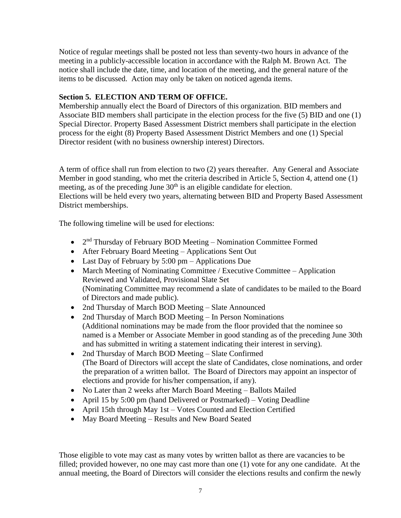Notice of regular meetings shall be posted not less than seventy-two hours in advance of the meeting in a publicly-accessible location in accordance with the Ralph M. Brown Act. The notice shall include the date, time, and location of the meeting, and the general nature of the items to be discussed. Action may only be taken on noticed agenda items.

# **Section 5. ELECTION AND TERM OF OFFICE.**

Membership annually elect the Board of Directors of this organization. BID members and Associate BID members shall participate in the election process for the five (5) BID and one (1) Special Director. Property Based Assessment District members shall participate in the election process for the eight (8) Property Based Assessment District Members and one (1) Special Director resident (with no business ownership interest) Directors.

A term of office shall run from election to two (2) years thereafter. Any General and Associate Member in good standing, who met the criteria described in Article 5, Section 4, attend one (1) meeting, as of the preceding June  $30<sup>th</sup>$  is an eligible candidate for election. Elections will be held every two years, alternating between BID and Property Based Assessment District memberships.

The following timeline will be used for elections:

- $\bullet$  2<sup>nd</sup> Thursday of February BOD Meeting Nomination Committee Formed
- After February Board Meeting Applications Sent Out
- Last Day of February by 5:00 pm Applications Due
- March Meeting of Nominating Committee / Executive Committee Application Reviewed and Validated, Provisional Slate Set (Nominating Committee may recommend a slate of candidates to be mailed to the Board of Directors and made public).
- 2nd Thursday of March BOD Meeting Slate Announced
- 2nd Thursday of March BOD Meeting In Person Nominations (Additional nominations may be made from the floor provided that the nominee so named is a Member or Associate Member in good standing as of the preceding June 30th and has submitted in writing a statement indicating their interest in serving).
- 2nd Thursday of March BOD Meeting Slate Confirmed (The Board of Directors will accept the slate of Candidates, close nominations, and order the preparation of a written ballot. The Board of Directors may appoint an inspector of elections and provide for his/her compensation, if any).
- No Later than 2 weeks after March Board Meeting Ballots Mailed
- April 15 by 5:00 pm (hand Delivered or Postmarked) Voting Deadline
- April 15th through May 1st Votes Counted and Election Certified
- May Board Meeting Results and New Board Seated

Those eligible to vote may cast as many votes by written ballot as there are vacancies to be filled; provided however, no one may cast more than one (1) vote for any one candidate. At the annual meeting, the Board of Directors will consider the elections results and confirm the newly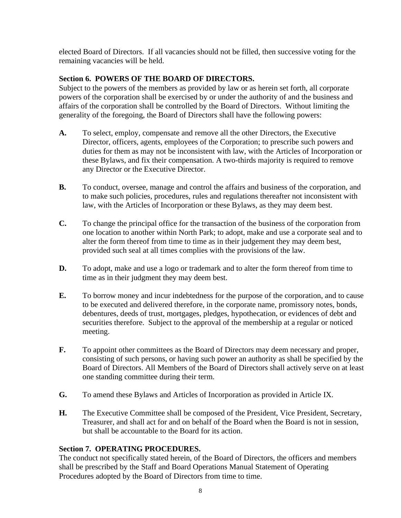elected Board of Directors. If all vacancies should not be filled, then successive voting for the remaining vacancies will be held.

# **Section 6. POWERS OF THE BOARD OF DIRECTORS.**

Subject to the powers of the members as provided by law or as herein set forth, all corporate powers of the corporation shall be exercised by or under the authority of and the business and affairs of the corporation shall be controlled by the Board of Directors. Without limiting the generality of the foregoing, the Board of Directors shall have the following powers:

- **A.** To select, employ, compensate and remove all the other Directors, the Executive Director, officers, agents, employees of the Corporation; to prescribe such powers and duties for them as may not be inconsistent with law, with the Articles of Incorporation or these Bylaws, and fix their compensation. A two-thirds majority is required to remove any Director or the Executive Director.
- **B.** To conduct, oversee, manage and control the affairs and business of the corporation, and to make such policies, procedures, rules and regulations thereafter not inconsistent with law, with the Articles of Incorporation or these Bylaws, as they may deem best.
- **C.** To change the principal office for the transaction of the business of the corporation from one location to another within North Park; to adopt, make and use a corporate seal and to alter the form thereof from time to time as in their judgement they may deem best, provided such seal at all times complies with the provisions of the law.
- **D.** To adopt, make and use a logo or trademark and to alter the form thereof from time to time as in their judgment they may deem best.
- **E.** To borrow money and incur indebtedness for the purpose of the corporation, and to cause to be executed and delivered therefore, in the corporate name, promissory notes, bonds, debentures, deeds of trust, mortgages, pledges, hypothecation, or evidences of debt and securities therefore. Subject to the approval of the membership at a regular or noticed meeting.
- **F.** To appoint other committees as the Board of Directors may deem necessary and proper, consisting of such persons, or having such power an authority as shall be specified by the Board of Directors. All Members of the Board of Directors shall actively serve on at least one standing committee during their term.
- **G.** To amend these Bylaws and Articles of Incorporation as provided in Article IX.
- **H.** The Executive Committee shall be composed of the President, Vice President, Secretary, Treasurer, and shall act for and on behalf of the Board when the Board is not in session, but shall be accountable to the Board for its action.

# **Section 7. OPERATING PROCEDURES.**

The conduct not specifically stated herein, of the Board of Directors, the officers and members shall be prescribed by the Staff and Board Operations Manual Statement of Operating Procedures adopted by the Board of Directors from time to time.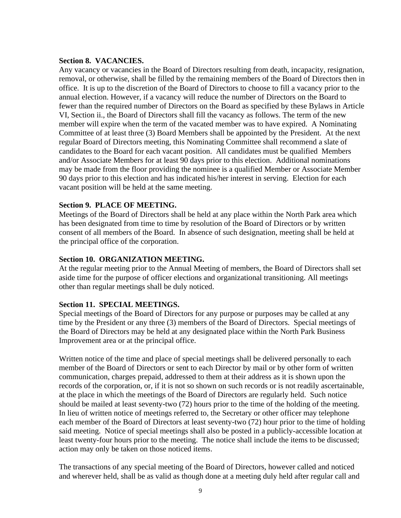## **Section 8. VACANCIES.**

Any vacancy or vacancies in the Board of Directors resulting from death, incapacity, resignation, removal, or otherwise, shall be filled by the remaining members of the Board of Directors then in office. It is up to the discretion of the Board of Directors to choose to fill a vacancy prior to the annual election. However, if a vacancy will reduce the number of Directors on the Board to fewer than the required number of Directors on the Board as specified by these Bylaws in Article VI, Section ii., the Board of Directors shall fill the vacancy as follows. The term of the new member will expire when the term of the vacated member was to have expired. A Nominating Committee of at least three (3) Board Members shall be appointed by the President. At the next regular Board of Directors meeting, this Nominating Committee shall recommend a slate of candidates to the Board for each vacant position. All candidates must be qualified Members and/or Associate Members for at least 90 days prior to this election. Additional nominations may be made from the floor providing the nominee is a qualified Member or Associate Member 90 days prior to this election and has indicated his/her interest in serving. Election for each vacant position will be held at the same meeting.

## **Section 9. PLACE OF MEETING.**

Meetings of the Board of Directors shall be held at any place within the North Park area which has been designated from time to time by resolution of the Board of Directors or by written consent of all members of the Board. In absence of such designation, meeting shall be held at the principal office of the corporation.

## **Section 10. ORGANIZATION MEETING.**

At the regular meeting prior to the Annual Meeting of members, the Board of Directors shall set aside time for the purpose of officer elections and organizational transitioning. All meetings other than regular meetings shall be duly noticed.

#### **Section 11. SPECIAL MEETINGS.**

Special meetings of the Board of Directors for any purpose or purposes may be called at any time by the President or any three (3) members of the Board of Directors. Special meetings of the Board of Directors may be held at any designated place within the North Park Business Improvement area or at the principal office.

Written notice of the time and place of special meetings shall be delivered personally to each member of the Board of Directors or sent to each Director by mail or by other form of written communication, charges prepaid, addressed to them at their address as it is shown upon the records of the corporation, or, if it is not so shown on such records or is not readily ascertainable, at the place in which the meetings of the Board of Directors are regularly held. Such notice should be mailed at least seventy-two (72) hours prior to the time of the holding of the meeting. In lieu of written notice of meetings referred to, the Secretary or other officer may telephone each member of the Board of Directors at least seventy-two (72) hour prior to the time of holding said meeting. Notice of special meetings shall also be posted in a publicly-accessible location at least twenty-four hours prior to the meeting. The notice shall include the items to be discussed; action may only be taken on those noticed items.

The transactions of any special meeting of the Board of Directors, however called and noticed and wherever held, shall be as valid as though done at a meeting duly held after regular call and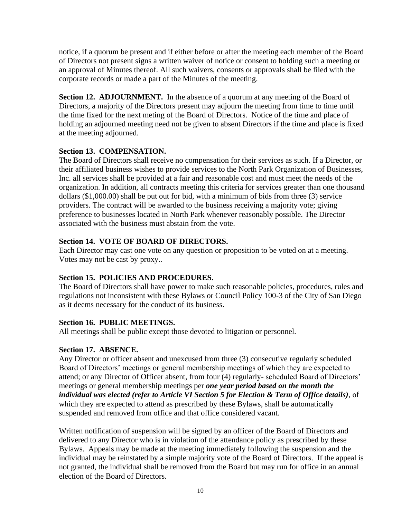notice, if a quorum be present and if either before or after the meeting each member of the Board of Directors not present signs a written waiver of notice or consent to holding such a meeting or an approval of Minutes thereof. All such waivers, consents or approvals shall be filed with the corporate records or made a part of the Minutes of the meeting.

**Section 12. ADJOURNMENT.** In the absence of a quorum at any meeting of the Board of Directors, a majority of the Directors present may adjourn the meeting from time to time until the time fixed for the next meting of the Board of Directors. Notice of the time and place of holding an adjourned meeting need not be given to absent Directors if the time and place is fixed at the meeting adjourned.

# **Section 13. COMPENSATION.**

The Board of Directors shall receive no compensation for their services as such. If a Director, or their affiliated business wishes to provide services to the North Park Organization of Businesses, Inc. all services shall be provided at a fair and reasonable cost and must meet the needs of the organization. In addition, all contracts meeting this criteria for services greater than one thousand dollars (\$1,000.00) shall be put out for bid, with a minimum of bids from three (3) service providers. The contract will be awarded to the business receiving a majority vote; giving preference to businesses located in North Park whenever reasonably possible. The Director associated with the business must abstain from the vote.

# **Section 14. VOTE OF BOARD OF DIRECTORS.**

Each Director may cast one vote on any question or proposition to be voted on at a meeting. Votes may not be cast by proxy..

# **Section 15. POLICIES AND PROCEDURES.**

The Board of Directors shall have power to make such reasonable policies, procedures, rules and regulations not inconsistent with these Bylaws or Council Policy 100-3 of the City of San Diego as it deems necessary for the conduct of its business.

# **Section 16. PUBLIC MEETINGS.**

All meetings shall be public except those devoted to litigation or personnel.

# **Section 17. ABSENCE.**

Any Director or officer absent and unexcused from three (3) consecutive regularly scheduled Board of Directors' meetings or general membership meetings of which they are expected to attend; or any Director of Officer absent, from four (4) regularly- scheduled Board of Directors' meetings or general membership meetings per *one year period based on the month the individual was elected (refer to Article VI Section 5 for Election & Term of Office details),* of which they are expected to attend as prescribed by these Bylaws, shall be automatically suspended and removed from office and that office considered vacant.

Written notification of suspension will be signed by an officer of the Board of Directors and delivered to any Director who is in violation of the attendance policy as prescribed by these Bylaws. Appeals may be made at the meeting immediately following the suspension and the individual may be reinstated by a simple majority vote of the Board of Directors. If the appeal is not granted, the individual shall be removed from the Board but may run for office in an annual election of the Board of Directors.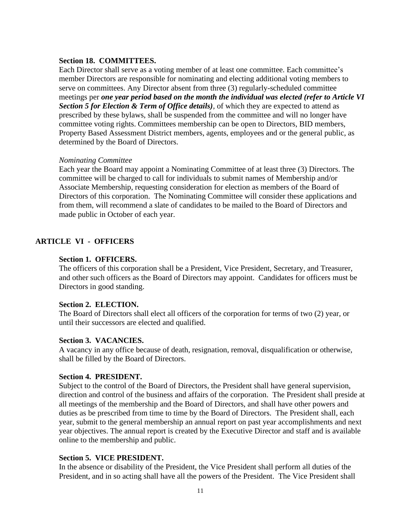## **Section 18. COMMITTEES.**

Each Director shall serve as a voting member of at least one committee. Each committee's member Directors are responsible for nominating and electing additional voting members to serve on committees. Any Director absent from three (3) regularly-scheduled committee meetings per *one year period based on the month the individual was elected (refer to Article VI Section 5 for Election & Term of Office details),* of which they are expected to attend as prescribed by these bylaws, shall be suspended from the committee and will no longer have committee voting rights. Committees membership can be open to Directors, BID members, Property Based Assessment District members, agents, employees and or the general public, as determined by the Board of Directors.

## *Nominating Committee*

Each year the Board may appoint a Nominating Committee of at least three (3) Directors. The committee will be charged to call for individuals to submit names of Membership and/or Associate Membership, requesting consideration for election as members of the Board of Directors of this corporation. The Nominating Committee will consider these applications and from them, will recommend a slate of candidates to be mailed to the Board of Directors and made public in October of each year.

# **ARTICLE VI - OFFICERS**

## **Section 1. OFFICERS.**

The officers of this corporation shall be a President, Vice President, Secretary, and Treasurer, and other such officers as the Board of Directors may appoint. Candidates for officers must be Directors in good standing.

## **Section 2. ELECTION.**

The Board of Directors shall elect all officers of the corporation for terms of two (2) year, or until their successors are elected and qualified.

## **Section 3. VACANCIES.**

A vacancy in any office because of death, resignation, removal, disqualification or otherwise, shall be filled by the Board of Directors.

## **Section 4. PRESIDENT.**

Subject to the control of the Board of Directors, the President shall have general supervision, direction and control of the business and affairs of the corporation. The President shall preside at all meetings of the membership and the Board of Directors, and shall have other powers and duties as be prescribed from time to time by the Board of Directors. The President shall, each year, submit to the general membership an annual report on past year accomplishments and next year objectives. The annual report is created by the Executive Director and staff and is available online to the membership and public.

## **Section 5. VICE PRESIDENT.**

In the absence or disability of the President, the Vice President shall perform all duties of the President, and in so acting shall have all the powers of the President. The Vice President shall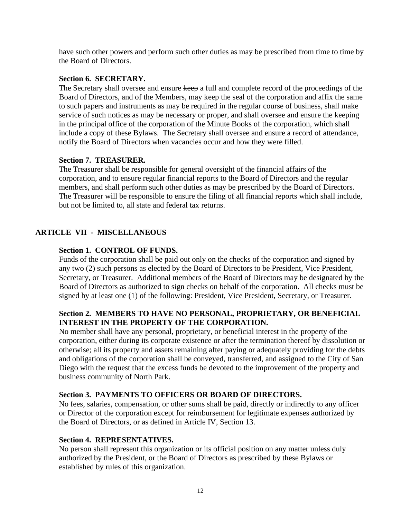have such other powers and perform such other duties as may be prescribed from time to time by the Board of Directors.

## **Section 6. SECRETARY.**

The Secretary shall oversee and ensure keep a full and complete record of the proceedings of the Board of Directors, and of the Members, may keep the seal of the corporation and affix the same to such papers and instruments as may be required in the regular course of business, shall make service of such notices as may be necessary or proper, and shall oversee and ensure the keeping in the principal office of the corporation of the Minute Books of the corporation, which shall include a copy of these Bylaws. The Secretary shall oversee and ensure a record of attendance, notify the Board of Directors when vacancies occur and how they were filled.

# **Section 7. TREASURER.**

The Treasurer shall be responsible for general oversight of the financial affairs of the corporation, and to ensure regular financial reports to the Board of Directors and the regular members, and shall perform such other duties as may be prescribed by the Board of Directors. The Treasurer will be responsible to ensure the filing of all financial reports which shall include, but not be limited to, all state and federal tax returns.

# **ARTICLE VII - MISCELLANEOUS**

# **Section 1. CONTROL OF FUNDS.**

Funds of the corporation shall be paid out only on the checks of the corporation and signed by any two (2) such persons as elected by the Board of Directors to be President, Vice President, Secretary, or Treasurer. Additional members of the Board of Directors may be designated by the Board of Directors as authorized to sign checks on behalf of the corporation. All checks must be signed by at least one (1) of the following: President, Vice President, Secretary, or Treasurer.

# **Section 2. MEMBERS TO HAVE NO PERSONAL, PROPRIETARY, OR BENEFICIAL INTEREST IN THE PROPERTY OF THE CORPORATION.**

No member shall have any personal, proprietary, or beneficial interest in the property of the corporation, either during its corporate existence or after the termination thereof by dissolution or otherwise; all its property and assets remaining after paying or adequately providing for the debts and obligations of the corporation shall be conveyed, transferred, and assigned to the City of San Diego with the request that the excess funds be devoted to the improvement of the property and business community of North Park.

# **Section 3. PAYMENTS TO OFFICERS OR BOARD OF DIRECTORS.**

No fees, salaries, compensation, or other sums shall be paid, directly or indirectly to any officer or Director of the corporation except for reimbursement for legitimate expenses authorized by the Board of Directors, or as defined in Article IV, Section 13.

# **Section 4. REPRESENTATIVES.**

No person shall represent this organization or its official position on any matter unless duly authorized by the President, or the Board of Directors as prescribed by these Bylaws or established by rules of this organization.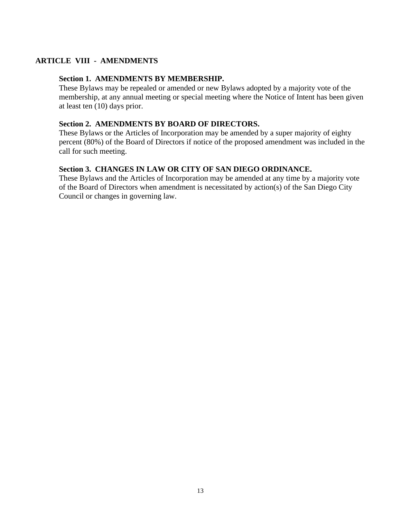# **ARTICLE VIII - AMENDMENTS**

## **Section 1. AMENDMENTS BY MEMBERSHIP.**

These Bylaws may be repealed or amended or new Bylaws adopted by a majority vote of the membership, at any annual meeting or special meeting where the Notice of Intent has been given at least ten (10) days prior.

## **Section 2. AMENDMENTS BY BOARD OF DIRECTORS.**

These Bylaws or the Articles of Incorporation may be amended by a super majority of eighty percent (80%) of the Board of Directors if notice of the proposed amendment was included in the call for such meeting.

## **Section 3. CHANGES IN LAW OR CITY OF SAN DIEGO ORDINANCE.**

These Bylaws and the Articles of Incorporation may be amended at any time by a majority vote of the Board of Directors when amendment is necessitated by action(s) of the San Diego City Council or changes in governing law.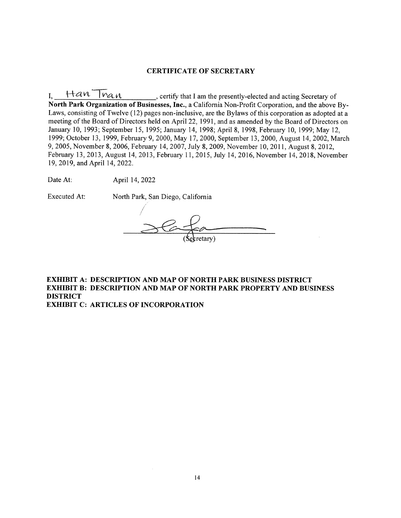#### **CERTIFICATE OF SECRETARY**

I,  $\frac{Han Than}{Han}$ , certify that I am the presently-elected and acting Secretary of North Park Organization of Businesses, Inc., a California Non-Profit Corporation, and the above By-Laws, consisting of Twelve (12) pages non-inclusive, are the Bylaws of this corporation as adopted at a meeting of the Board of Directors held on April 22, 1991, and as amended by the Board of Directors on January 10, 1993; September 15, 1995; January 14, 1998; April 8, 1998, February 10, 1999; May 12, 1999; October 13, 1999, February 9, 2000, May 17, 2000, September 13, 2000, August 14, 2002, March 9, 2005, November 8, 2006, February 14, 2007, July 8, 2009, November 10, 2011, August 8, 2012, February 13, 2013, August 14, 2013, February 11, 2015, July 14, 2016, November 14, 2018, November 19, 2019, and April 14, 2022.

Date At: April 14, 2022

**Executed At:** 

North Park, San Diego, California

#### **EXHIBIT A: DESCRIPTION AND MAP OF NORTH PARK BUSINESS DISTRICT EXHIBIT B: DESCRIPTION AND MAP OF NORTH PARK PROPERTY AND BUSINESS DISTRICT EXHIBIT C: ARTICLES OF INCORPORATION**